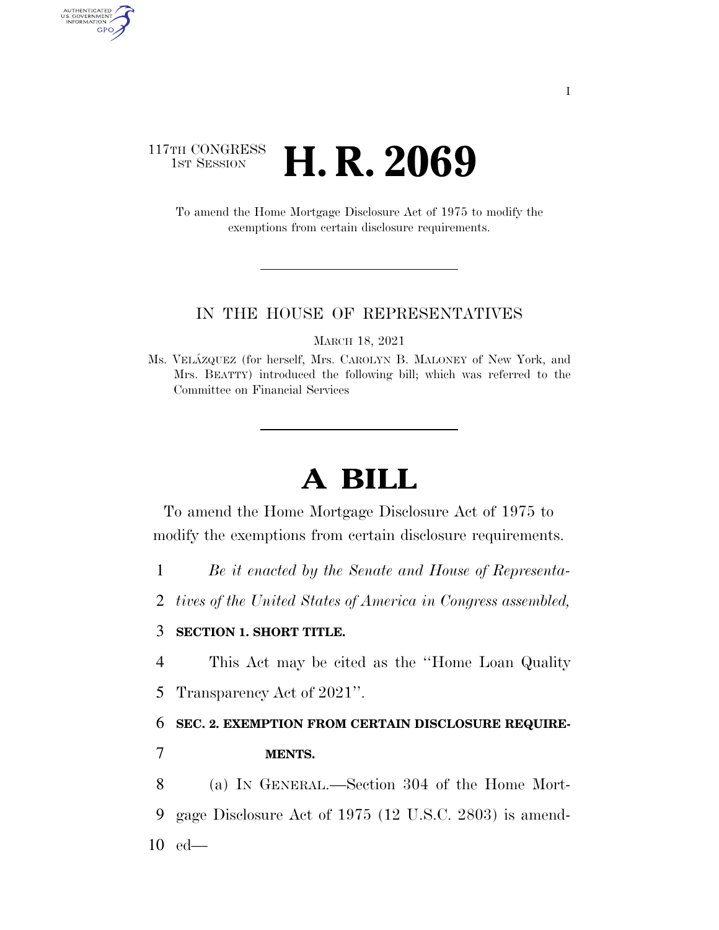# 117TH CONGRESS **1ST SESSION <b>H. R. 2069**

AUTHENTICATED<br>U.S. GOVERNMENT<br>INFORMATION GPO

> To amend the Home Mortgage Disclosure Act of 1975 to modify the exemptions from certain disclosure requirements.

### IN THE HOUSE OF REPRESENTATIVES

MARCH 18, 2021

# **A BILL**

To amend the Home Mortgage Disclosure Act of 1975 to modify the exemptions from certain disclosure requirements.

1 *Be it enacted by the Senate and House of Representa-*

2 *tives of the United States of America in Congress assembled,* 

## 3 **SECTION 1. SHORT TITLE.**

4 This Act may be cited as the ''Home Loan Quality 5 Transparency Act of 2021''.

#### 6 **SEC. 2. EXEMPTION FROM CERTAIN DISCLOSURE REQUIRE-**

7 **MENTS.** 

8 (a) IN GENERAL.—Section 304 of the Home Mort-9 gage Disclosure Act of 1975 (12 U.S.C. 2803) is amend-10 ed—

Ms. VELA´ZQUEZ (for herself, Mrs. CAROLYN B. MALONEY of New York, and Mrs. BEATTY) introduced the following bill; which was referred to the Committee on Financial Services